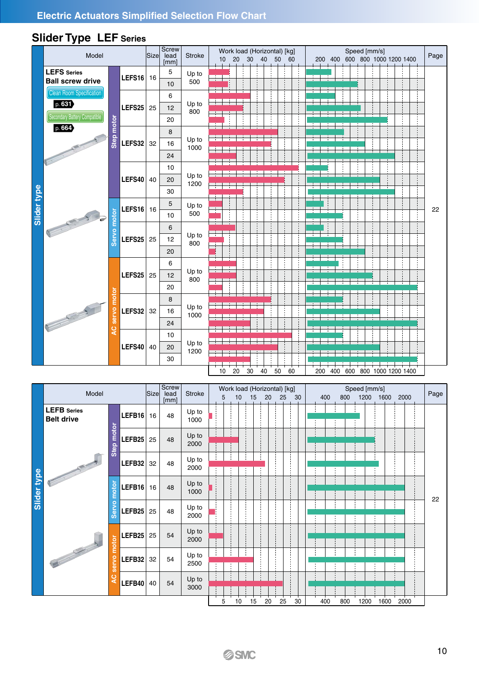|             | Model                                                                     |                       |        |      | <b>Screw</b>                 |               | Speed [mm/s]<br>Work load (Horizontal) [kg]                                                                       |      |
|-------------|---------------------------------------------------------------------------|-----------------------|--------|------|------------------------------|---------------|-------------------------------------------------------------------------------------------------------------------|------|
|             |                                                                           |                       |        | Size | lead<br>[mm]                 | <b>Stroke</b> | 200 400 600 800 1000 1200 1400<br>20<br>30 <sup>2</sup><br>40 50 60<br>10                                         | Page |
|             | <b>LEFS</b> Series<br><b>Ball screw drive</b>                             |                       | LEFS16 | 16   | 5<br>10                      | Up to<br>500  |                                                                                                                   |      |
|             | <b>Clean Room Specification</b><br>p. 631<br>Secondary Battery Compatible |                       | LEFS25 | 25   | 6<br>12<br>20                | Up to<br>800  |                                                                                                                   |      |
|             | p. 664                                                                    | Step motor            | LEFS32 | 32   | 8<br>16<br>24                | Up to<br>1000 |                                                                                                                   |      |
|             |                                                                           |                       | LEFS40 | 40   | 10<br>20<br>30               | Up to<br>1200 |                                                                                                                   |      |
| Slider type |                                                                           |                       | LEFS16 | 16   | 5<br>10                      | Up to<br>500  |                                                                                                                   | 22   |
|             |                                                                           | Servo motor           | LEFS25 | 25   | 6<br>12<br>20                | Up to<br>800  |                                                                                                                   |      |
|             |                                                                           |                       | LEFS25 | 25   | 6<br>12<br>20                | Up to<br>800  |                                                                                                                   |      |
|             | POSTAGE OF THE PARTY                                                      | motor<br><b>Servo</b> | LEFS32 | 32   | 8<br>16<br>24                | Up to<br>1000 |                                                                                                                   |      |
|             |                                                                           | ă                     | LEFS40 | 40   | 10<br>20<br>30               | Up to<br>1200 |                                                                                                                   |      |
|             |                                                                           |                       |        |      |                              |               | 50<br>60<br>20<br>30<br>40<br>200 400 600 800 1000 1200 1400<br>10 <sup>°</sup>                                   |      |
|             | Model                                                                     |                       |        | Size | <b>Screw</b><br>lead<br>[mm] | <b>Stroke</b> | Work load (Horizontal) [kg]<br>Speed [mm/s]<br>15<br>25<br>1200<br>1600 2000<br>5<br>10<br>20<br>30<br>400<br>800 | Page |
|             | <b>LEFB</b> Series<br><b>Belt drive</b>                                   |                       | LEFB16 | 16   | 48                           | Up to<br>1000 |                                                                                                                   |      |
|             |                                                                           | motor<br>ep           | LEFB25 | 25   | 48                           | Up to<br>2000 |                                                                                                                   |      |

# **Slider Type LEF Series**

|             |                                         | motor<br>servo<br>Q | LEFS32 $32$<br>LEFS40 $40$ |      | ΔU<br>8<br>16<br>24<br>10<br>20 | Up to<br>1000<br>Up to<br>1200 |    |                                   |                 |    |       |    |    |  |     |     |              |           |  |                    |      |
|-------------|-----------------------------------------|---------------------|----------------------------|------|---------------------------------|--------------------------------|----|-----------------------------------|-----------------|----|-------|----|----|--|-----|-----|--------------|-----------|--|--------------------|------|
|             |                                         |                     |                            |      | 30                              |                                | 10 | 20                                | 30 <sub>o</sub> | 40 | 50    |    | 60 |  | 200 | 400 | 600          |           |  | 800 1000 1200 1400 |      |
|             | Model                                   |                     |                            | Size | <b>Screw</b><br>lead<br>[mm]    | <b>Stroke</b>                  | 5  | Work load (Horizontal) [kg]<br>10 | 15              |    | 20 25 |    | 30 |  | 400 | 800 | Speed [mm/s] | 1200 1600 |  | 2000               | Page |
|             | <b>LEFB</b> Series<br><b>Belt drive</b> |                     | LEFB16                     | 16   | 48                              | Up to<br>1000                  |    |                                   |                 |    |       |    |    |  |     |     |              |           |  |                    |      |
|             |                                         | motor<br>Step       | LEFB25                     | 25   | 48                              | Up to<br>2000                  |    |                                   |                 |    |       |    |    |  |     |     |              |           |  |                    |      |
|             |                                         |                     | LEFB32                     | 32   | 48                              | Up to<br>2000                  |    |                                   |                 |    |       |    |    |  |     |     |              |           |  |                    |      |
| Slider type |                                         | motor               | LEFB16                     | 16   | 48                              | Up to<br>1000                  |    |                                   |                 |    |       |    |    |  |     |     |              |           |  |                    | 22   |
|             |                                         | Servo               | LEFB <sub>25</sub>         | 25   | 48                              | Up to<br>2000                  |    |                                   |                 |    |       |    |    |  |     |     |              |           |  |                    |      |
|             |                                         | motor               | LEFB25                     | 25   | 54                              | Up to<br>2000                  |    |                                   |                 |    |       |    |    |  |     |     |              |           |  |                    |      |
|             |                                         | <b>Servo</b>        | LEFB32                     | 32   | 54                              | Up to<br>2500                  |    |                                   |                 |    |       |    |    |  |     |     |              |           |  |                    |      |
|             |                                         | $\mathbf C$<br>∢    | LEFB40                     | 40   | 54                              | Up to<br>3000                  |    |                                   |                 |    |       |    |    |  |     |     |              |           |  |                    |      |
|             |                                         |                     |                            |      |                                 |                                | 5  | 10                                | 15              |    | 20    | 25 | 30 |  | 400 | 800 |              | 1200 1600 |  | 2000               |      |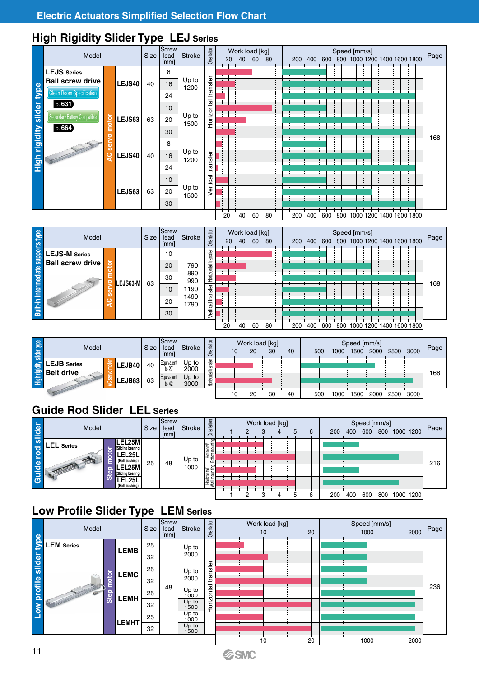#### **High Rigidity Slider Type LEJ Series**

|                           | Model                                            |                     |        | <b>Size</b> | Screw<br>lead<br>[mm]                        | <b>Stroke</b> | Orientation | 20           | Work load [kg]<br>40 | 60 | 80 | 200 | 400 | 600 | Speed [mm/s]<br>800 |  | 1000 1200 1400 1600 1800 |  | Page |
|---------------------------|--------------------------------------------------|---------------------|--------|-------------|----------------------------------------------|---------------|-------------|--------------|----------------------|----|----|-----|-----|-----|---------------------|--|--------------------------|--|------|
|                           | <b>LEJS</b> Series<br><b>Ball screw drive</b>    |                     | LEJS40 | 40          | 8<br>16                                      | Up to         | transfer    |              |                      |    |    |     |     |     |                     |  |                          |  |      |
|                           | <b>Clean Room Specification</b>                  |                     |        |             | 24                                           | 1200          |             | $\mathbf{L}$ |                      |    |    |     |     |     |                     |  |                          |  |      |
|                           | p. 631<br>Secondary Battery Compatible<br>p. 664 | motor               | LEJS63 | Horizontal  | $\mathbf{I}$<br>$\mathbf{r}$<br>$\mathbf{r}$ |               |             |              | $\mathbf{L}$         |    |    |     |     |     |                     |  |                          |  |      |
| High rigidity slider type |                                                  | o<br>ω<br>m<br>ပ္ရွ | LEJS40 | 40          | 8<br>16<br>24                                | Up to<br>1200 | transfer    |              |                      |    |    |     |     |     |                     |  |                          |  | 168  |
|                           |                                                  | Vertical            |        |             |                                              |               |             |              |                      |    |    |     |     |     |                     |  |                          |  |      |
|                           |                                                  |                     |        |             |                                              |               |             | 20           | 40                   | 60 | 80 | 200 | 400 | 600 | 800                 |  | 1000 1200 1400 1600 1800 |  |      |

| High                                       |                                                 | Q                            | LEJS40   | 40          | 16<br>24                          | υρ ισ<br>1200                             | Vertical transfer                     |    |    |                      |                      |    |     |     |     |      |                      |      |                              |      |      |
|--------------------------------------------|-------------------------------------------------|------------------------------|----------|-------------|-----------------------------------|-------------------------------------------|---------------------------------------|----|----|----------------------|----------------------|----|-----|-----|-----|------|----------------------|------|------------------------------|------|------|
|                                            |                                                 |                              | LEJS63   | 63          | 10<br>20<br>30                    | Up to<br>1500                             |                                       |    |    |                      |                      |    |     |     |     |      |                      |      |                              |      |      |
|                                            |                                                 |                              |          |             |                                   |                                           |                                       | 20 | 40 | 60                   | 80                   |    | 200 | 400 | 600 |      |                      |      | 800 1000 1200 1400 1600 1800 |      |      |
|                                            | Model                                           |                              |          | <b>Size</b> | Screw<br>lead<br>[mm]             | <b>Stroke</b>                             | Orientation                           | 20 | 40 | Work load [kg]<br>60 | 80                   |    | 200 | 400 | 600 |      | Speed [mm/s]         |      | 800 1000 1200 1400 1600 1800 |      | Page |
| <b>Built-in intermediate supports type</b> | <b>LEJS-M</b> Series<br><b>Ball screw drive</b> | notor<br>۰<br>serv<br>ပ<br>∢ | LEJS63-M | 63          | 10<br>20<br>30<br>10<br>20<br>30  | 790<br>890<br>990<br>1190<br>1490<br>1790 | Vertical transfer Horizontal transfer |    |    |                      |                      |    |     |     |     |      |                      |      |                              |      | 168  |
|                                            |                                                 |                              |          |             |                                   |                                           |                                       | 20 | 40 | 60                   | 80                   |    | 200 | 400 | 600 |      |                      |      | 800 1000 1200 1400 1600 1800 |      |      |
|                                            | Model                                           |                              |          | <b>Size</b> | Screw<br>lead<br>[mm]             | <b>Stroke</b>                             | Orientation                           |    | 10 | 20                   | Work load [kg]<br>30 | 40 |     |     | 500 | 1000 | Speed [mm/s]<br>1500 | 2000 | 2500                         | 3000 | Page |
| High rigidity slider type                  | <b>LEJB</b> Series<br><b>Belt drive</b>         | <b>Room</b><br>ervo          | LEJB40   | 40          | Equivalent<br>to 27<br>Equivalent | Up to $2000$<br>Up to                     | Horizontal transfer                   |    |    |                      |                      |    |     |     |     |      |                      |      |                              |      | 168  |
|                                            |                                                 | Ō                            | LEJB63   | 63          | to 42                             | 3000                                      |                                       |    |    |                      |                      |    |     |     |     |      |                      |      |                              |      |      |

| slider type | Model                        | <b>Size</b> | <b>Screw</b><br>lead<br>[mm] | Stroke        | rientation<br>$\circ$ | 10 | Work load [kg]<br>20 | 30 | 40 | 500 | 1000 | 1500 | Speed [mm/s]<br>2000 | 2500 | 3000 | Page |
|-------------|------------------------------|-------------|------------------------------|---------------|-----------------------|----|----------------------|----|----|-----|------|------|----------------------|------|------|------|
|             | <b>LEJB</b> Series<br>LEJB40 | 40          | Equivalent<br>to 27          | Up to<br>2000 | transfer<br>-         |    |                      |    |    |     |      |      |                      |      |      | 168  |
|             | LEJB Series<br>LEJB63        | 63          | Equivalent<br>to 42          | Up to<br>3000 | Horizontal            |    |                      |    |    |     |      |      |                      |      |      |      |
|             |                              |             |                              |               |                       |    |                      |    | 40 | 50C | 000  | 500  | 2000                 | 2500 | 3000 |      |

## **Guide Rod Slider LEL Series**

| slider           | Model                                                                | Size | Screw<br>lead<br>[mm] | Stroke | Orientation                            |  |  | Work load [kg] |  | 6 | 200 | 400 | Speed [mm/s]<br>600 | 800 | 1000 | 1200 | Page |
|------------------|----------------------------------------------------------------------|------|-----------------------|--------|----------------------------------------|--|--|----------------|--|---|-----|-----|---------------------|-----|------|------|------|
|                  | EL25M-<br>_EL Series<br>(Sliding bearing)<br>EL25I<br>(Ball bushing) |      |                       | Up to  | Ξ<br>Ē<br>Horizontal/<br>Bottom mounti |  |  |                |  |   |     |     |                     |     |      |      |      |
| <b>Guide rod</b> | .25M<br>(Sliding bearing)<br>(Ball bushing)                          | 25   | 48                    | 1000   | Horizontal/<br>Wall mounting           |  |  |                |  |   |     |     |                     |     |      |      | 216  |
|                  |                                                                      |      |                       |        |                                        |  |  |                |  |   | 200 | 40C | 600                 | 800 | 1000 | 1200 |      |

## **Low Profile Slider Type LEM Series**

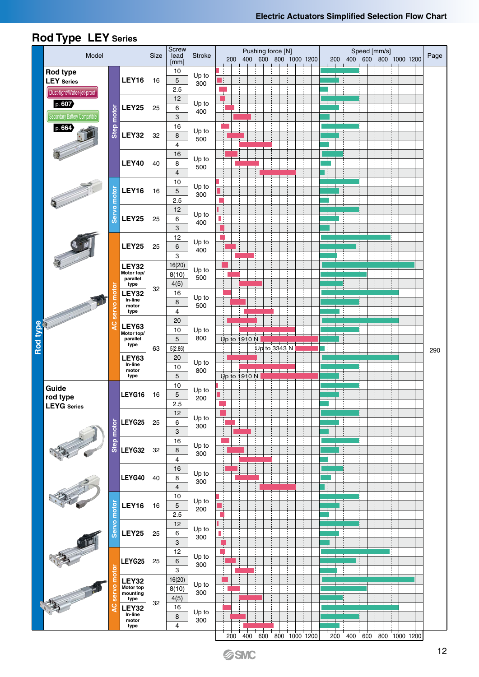|          | noa iype LL i senes<br>Model |                     |                         | Size | Screw<br>lead       | <b>Stroke</b> | 200          | Pushing force [N]<br>400 600 800 1000 1200 |              |  |  | 200 |  | Speed [mm/s] | 400 600 800 1000 1200     | Page |
|----------|------------------------------|---------------------|-------------------------|------|---------------------|---------------|--------------|--------------------------------------------|--------------|--|--|-----|--|--------------|---------------------------|------|
|          | <b>Rod type</b>              |                     |                         |      | [mm]<br>$10$        | Up to         |              |                                            |              |  |  |     |  |              |                           |      |
|          | <b>LEY</b> Series            |                     | <b>LEY16</b>            | 16   | 5                   | 300           |              |                                            |              |  |  |     |  |              |                           |      |
|          | Dust-tight/Water-jet-proof   |                     |                         |      | 2.5<br>12           |               |              |                                            |              |  |  |     |  |              |                           |      |
|          | p. 607                       |                     | <b>LEY25</b>            | 25   | 6                   | Up to<br>400  |              |                                            |              |  |  |     |  |              |                           |      |
|          | Secondary Battery Compatible | Step motor          |                         |      | 3                   |               |              |                                            |              |  |  |     |  |              |                           |      |
|          | p. 664                       |                     |                         |      | 16                  | Up to         |              |                                            |              |  |  |     |  |              |                           |      |
|          |                              |                     | LEY32                   | 32   | 8<br>$\overline{4}$ | 500           |              |                                            |              |  |  |     |  |              |                           |      |
|          |                              |                     |                         |      | 16                  |               |              |                                            |              |  |  |     |  |              |                           |      |
|          |                              |                     | <b>LEY40</b>            | 40   | 8                   | Up to<br>500  |              |                                            |              |  |  |     |  |              |                           |      |
|          |                              |                     |                         |      | $\overline{4}$      |               |              |                                            |              |  |  |     |  |              |                           |      |
|          |                              |                     | <b>LEY16</b>            | 16   | $10$<br>5           | Up to         |              |                                            |              |  |  |     |  |              |                           |      |
|          |                              |                     |                         |      | 2.5                 | 300           |              |                                            |              |  |  |     |  |              |                           |      |
|          |                              | Servo motor         |                         |      | 12                  |               |              |                                            |              |  |  |     |  |              |                           |      |
|          |                              |                     | <b>LEY25</b>            | 25   | 6                   | Up to<br>400  | Πţ           |                                            |              |  |  |     |  |              |                           |      |
|          |                              |                     |                         |      | 3                   |               |              |                                            |              |  |  |     |  |              |                           |      |
|          |                              |                     | <b>LEY25</b>            | 25   | 12<br>6             | Up to         |              |                                            |              |  |  |     |  |              |                           |      |
|          |                              |                     |                         |      | 3                   | 400           |              |                                            |              |  |  |     |  |              |                           |      |
|          |                              |                     | <b>LEY32</b>            |      | 16(20)              | Up to         |              |                                            |              |  |  |     |  |              |                           |      |
|          |                              |                     | Motor top/<br>parallel  |      | 8(10)               | 500           |              |                                            |              |  |  |     |  |              |                           |      |
|          |                              | motor               | type<br><b>LEY32</b>    | 32   | 4(5)<br>16          |               |              |                                            |              |  |  |     |  |              |                           |      |
|          |                              |                     | In-line<br>motor        |      | 8                   | Up to<br>500  |              |                                            |              |  |  |     |  |              |                           |      |
|          |                              | servo               | type                    |      | 4                   |               |              |                                            |              |  |  |     |  |              |                           |      |
|          |                              | Q                   | <b>LEY63</b>            |      | 20                  |               |              |                                            |              |  |  |     |  |              |                           |      |
|          |                              |                     | Motor top/<br>parallel  |      | 10<br>5             | Up to<br>800  | Up to 1910 N |                                            |              |  |  |     |  |              |                           |      |
| Rod type |                              |                     | type                    | 63   | 5(2.86)             |               |              |                                            | Up to 3343 N |  |  |     |  |              |                           | 290  |
|          |                              |                     | <b>LEY63</b><br>In-line |      | 20                  | Up to         |              |                                            |              |  |  |     |  |              |                           |      |
|          |                              |                     | motor<br>type           |      | $10$<br>5           | 800           | Up to 1910 N |                                            |              |  |  |     |  |              |                           |      |
|          | Guide                        |                     |                         |      | 10                  |               |              |                                            |              |  |  |     |  |              |                           |      |
|          | rod type                     |                     | LEYG16                  | 16   | 5                   | Up to<br>200  |              |                                            |              |  |  |     |  |              |                           |      |
|          | <b>LEYG</b> Series           |                     |                         |      | 2.5                 |               |              |                                            |              |  |  |     |  |              |                           |      |
|          |                              |                     | LEYG25                  | 25   | 12<br>6             | Up to         | Я            |                                            |              |  |  |     |  |              |                           |      |
|          |                              | Step motor          |                         |      | 3                   | 300           | ţ            |                                            |              |  |  |     |  |              |                           |      |
|          |                              |                     |                         |      | 16                  | Up to         |              |                                            |              |  |  |     |  |              |                           |      |
|          |                              |                     | LEYG32                  | 32   | 8                   | 300           | ŧ            |                                            |              |  |  |     |  |              |                           |      |
|          |                              |                     |                         |      | 4<br>16             |               |              |                                            |              |  |  |     |  |              |                           |      |
|          |                              |                     | LEYG40                  | 40   | $\bf 8$             | Up to<br>300  |              |                                            |              |  |  |     |  |              |                           |      |
|          |                              |                     |                         |      | 4                   |               |              |                                            |              |  |  |     |  |              |                           |      |
|          |                              |                     |                         |      | $10$                | Up to         | ł            |                                            |              |  |  |     |  |              |                           |      |
|          |                              | motor               | <b>LEY16</b>            | 16   | 5<br>2.5            | 200           |              |                                            |              |  |  |     |  |              |                           |      |
|          |                              |                     |                         |      | 12                  |               | ÷            |                                            |              |  |  |     |  |              |                           |      |
|          | $\sqrt{10}$                  | <b>Servo</b>        | <b>LEY25</b>            | 25   | 6                   | Up to<br>300  | Шį           |                                            |              |  |  |     |  |              |                           |      |
|          |                              |                     |                         |      | 3                   |               |              |                                            |              |  |  |     |  |              |                           |      |
|          |                              |                     | LEYG25                  | 25   | 12<br>6             | Up to         | ŧ            |                                            |              |  |  |     |  |              |                           |      |
|          |                              |                     |                         |      | 3                   | 300           | ÷            |                                            |              |  |  |     |  |              |                           |      |
|          |                              | motor               | <b>LEY32</b>            |      | 16(20)              | Up to         |              |                                            |              |  |  |     |  |              |                           |      |
|          |                              | servo               | Motor top<br>mounting   |      | 8(10)               | 300           | ŧ<br>ŧ       |                                            |              |  |  |     |  |              |                           |      |
|          |                              | $\ddot{\mathbf{C}}$ | type<br><b>LEY32</b>    | 32   | 4(5)<br>16          |               |              |                                            |              |  |  |     |  |              |                           |      |
|          |                              | ⋖                   | In-line<br>motor        |      | $\,$ 8 $\,$         | Up to<br>300  |              |                                            |              |  |  |     |  |              |                           |      |
|          |                              |                     | type                    |      | 4                   |               |              |                                            |              |  |  |     |  |              |                           |      |
|          |                              |                     |                         |      |                     |               |              | 200 400 600 800 1000 1200                  |              |  |  |     |  |              | 200 400 600 800 1000 1200 |      |

#### **Rod Type LEY Series**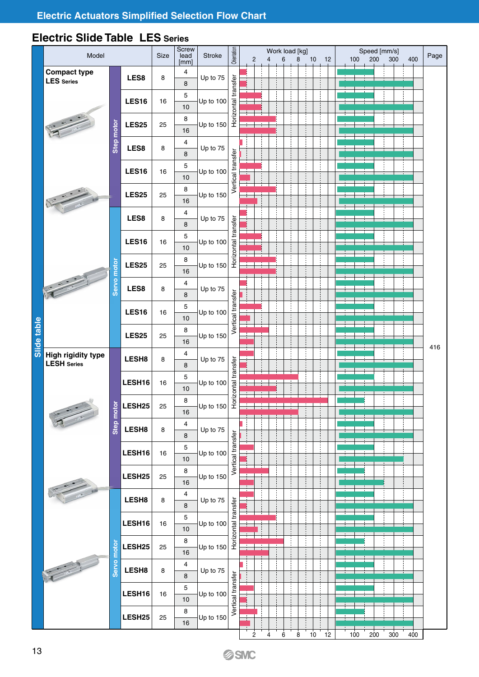## **Electric Slide Table LES Series**

|             | Model                                    |            |                    | Size | Screw<br>lead<br>[mm]        | Stroke      | Orientation         | $\overline{2}$ | 4 | Work load [kg]<br>6 | 8 | 10 | 12 | 100 | 200 | Speed [mm/s]<br>300 | 400 | Page |
|-------------|------------------------------------------|------------|--------------------|------|------------------------------|-------------|---------------------|----------------|---|---------------------|---|----|----|-----|-----|---------------------|-----|------|
|             | <b>Compact type</b><br><b>LES</b> Series |            | LES8               | 8    | 4<br>$\bf8$                  | Up to 75    |                     |                |   |                     |   |    |    |     |     |                     |     |      |
|             |                                          |            | <b>LES16</b>       | 16   | $\mathbf 5$                  | Up to 100   | Horizontal transfer |                |   |                     |   |    |    |     |     |                     |     |      |
|             |                                          |            |                    |      | 10<br>8                      |             |                     | ÷              |   |                     |   |    |    |     |     |                     |     |      |
|             |                                          | Step motor | <b>LES25</b>       | 25   | 16                           | Up to $150$ |                     |                |   |                     |   |    |    |     |     |                     |     |      |
|             |                                          |            | LES8               | 8    | $\overline{4}$<br>8          | Up to 75    |                     |                |   |                     |   |    |    |     |     |                     |     |      |
|             |                                          |            | <b>LES16</b>       | 16   | 5<br>$10$                    | Up to 100   | Vertical transfer   |                |   |                     |   |    |    |     |     |                     |     |      |
|             |                                          |            | <b>LES25</b>       | 25   | $\bf 8$                      | Up to 150   |                     |                |   |                     |   |    |    |     |     |                     |     |      |
|             |                                          |            |                    |      | $16$<br>4                    |             |                     |                |   |                     |   |    |    |     |     |                     |     |      |
|             |                                          |            | LES8               | 8    | 8<br>5                       | Up to 75    |                     |                |   |                     |   |    |    |     |     |                     |     |      |
|             |                                          |            | <b>LES16</b>       | 16   | $10$                         | Up to 100   | Horizontal transfer |                |   |                     |   |    |    |     |     |                     |     |      |
|             |                                          | motor      | <b>LES25</b>       | 25   | $\bf 8$<br>16                | Up to $150$ |                     |                |   |                     |   |    |    |     |     |                     |     |      |
|             |                                          | Servo      | LES8               | 8    | $\overline{4}$<br>8          | Up to 75    |                     |                |   |                     |   |    |    |     |     |                     |     |      |
|             |                                          |            | <b>LES16</b>       | 16   | 5                            | Up to 100   | Vertical transfer   |                |   |                     |   |    |    |     |     |                     |     |      |
|             |                                          |            |                    |      | 10<br>8                      |             |                     |                |   |                     |   |    |    |     |     |                     |     |      |
| Slide table |                                          |            | <b>LES25</b>       | 25   | 16                           | Up to 150   |                     |                |   |                     |   |    |    |     |     |                     |     | 416  |
|             | High rigidity type<br><b>LESH</b> Series |            | LESH8              | 8    | 4<br>8                       | Up to 75    |                     |                |   |                     |   |    |    |     |     |                     |     |      |
|             |                                          |            | LESH16             | 16   | 5<br>$10$                    | Up to 100   | Horizontal transfer |                |   |                     |   |    |    |     |     |                     |     |      |
|             |                                          | <u>ة</u>   | LESH <sub>25</sub> | 25   | 8<br>16                      | Up to 150   |                     |                |   |                     |   |    |    |     |     |                     |     |      |
|             |                                          | Step mot   | LESH8              | 8    | 4                            | Up to 75    |                     |                |   |                     |   |    |    |     |     |                     |     |      |
|             |                                          |            | LESH16             | 16   | $\bf8$<br>5                  | Up to 100   | Vertical transfer   |                |   |                     |   |    |    |     |     |                     |     |      |
|             |                                          |            |                    |      | 10<br>8                      |             |                     |                |   |                     |   |    |    |     |     |                     |     |      |
|             |                                          |            | LESH25             | 25   | $16\,$                       | Up to 150   |                     |                |   |                     |   |    |    |     |     |                     |     |      |
|             |                                          |            | LESH8              | 8    | $\overline{\mathbf{4}}$<br>8 | Up to 75    |                     |                |   |                     |   |    |    |     |     |                     |     |      |
|             |                                          |            | LESH16             | 16   | 5<br>$10$                    | Up to 100   |                     |                |   |                     |   |    |    |     |     |                     |     |      |
|             |                                          |            | LESH25             | 25   | $\bf 8$                      | Up to 150   | Horizontal transfer |                |   |                     |   |    |    |     |     |                     |     |      |
|             |                                          | motor      |                    |      | 16<br>4                      |             |                     |                |   |                     |   |    |    |     |     |                     |     |      |
|             |                                          | Servo      | LESH8              | 8    | 8                            | Up to 75    |                     |                |   |                     |   |    |    |     |     |                     |     |      |
|             |                                          |            | LESH16             | 16   | 5<br>10                      | Up to 100   | Vertical transfer   |                |   |                     |   |    |    |     |     |                     |     |      |
|             |                                          |            | LESH25             | 25   | $\bf 8$<br>16                | Up to 150   |                     |                |   |                     |   |    |    |     |     |                     |     |      |
|             |                                          |            |                    |      |                              |             |                     | 2              | 4 | 6                   | 8 | 10 | 12 | 100 | 200 | 300                 | 400 |      |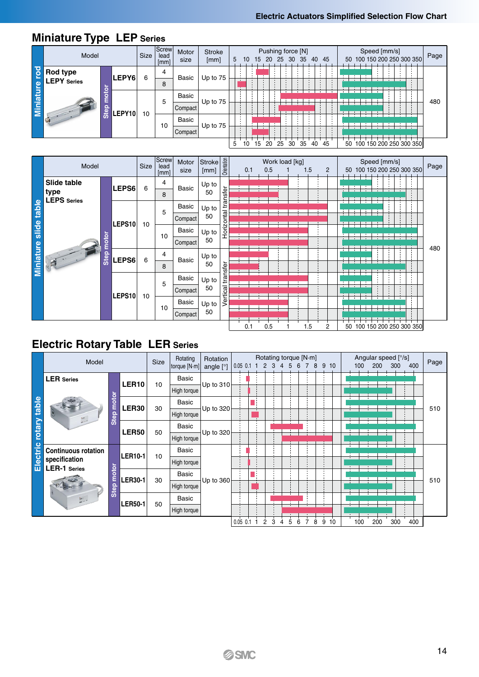|                  | Model              |      |        | Size | Screw<br>lead<br>[mm] | Motor<br>size | <b>Stroke</b><br>[mm] | 5 | 10 | 15 20 | Pushing force [N] | 25 30 | -35 | 40 | 45 |  |    |  | Speed [mm/s] | 50 100 150 200 250 300 350 | Page |
|------------------|--------------------|------|--------|------|-----------------------|---------------|-----------------------|---|----|-------|-------------------|-------|-----|----|----|--|----|--|--------------|----------------------------|------|
| rod              | <b>Rod type</b>    |      |        |      | 4                     |               |                       |   |    |       |                   |       |     |    |    |  |    |  |              |                            |      |
|                  | <b>LEPY</b> Series |      | LEPY6  | 6    | 8                     | Basic         | Up to 75              |   |    |       |                   |       |     |    |    |  |    |  |              |                            |      |
|                  |                    |      |        |      |                       | Basic         |                       |   |    |       |                   |       |     |    |    |  |    |  |              |                            |      |
| <b>Miniature</b> |                    | Step |        |      | 5                     | Compact       | Up to 75              |   |    |       |                   |       |     |    |    |  |    |  |              |                            | 480  |
|                  |                    |      | LEPY10 | 10   |                       | Basic         |                       |   |    |       |                   |       |     |    |    |  |    |  |              |                            |      |
|                  |                    |      |        |      | 10                    | Compact       | Up to 75              |   |    |       |                   |       |     |    |    |  |    |  |              |                            |      |
|                  |                    |      |        |      |                       |               |                       | 5 | 10 | 15    | 20 25             | 30    | 35  | 40 | 45 |  | 50 |  |              | 100 150 200 250 300 350    |      |

## **Miniature Type LEP Series**

|                       | Model                      |      |        | Size | Screw<br>lead<br>[mm] | Motor<br>size | Stroke<br>[mm] | Orientation | 0.1          | 0.5 | Work load [kg] | 1.5 | $\overline{2}$ | 50 |              |  | Speed [mm/s] | 100 150 200 250 300 350 | Page |
|-----------------------|----------------------------|------|--------|------|-----------------------|---------------|----------------|-------------|--------------|-----|----------------|-----|----------------|----|--------------|--|--------------|-------------------------|------|
|                       | <b>Slide table</b>         |      | LEPS6  | 6    | 4                     | Basic         | Up to          |             |              |     |                |     |                |    |              |  |              |                         |      |
|                       | type<br><b>LEPS</b> Series |      |        |      | 8                     |               | 50             | transfer    |              |     |                |     |                |    |              |  |              |                         |      |
| Miniature slide table |                            |      |        |      | 5                     | Basic         | Up to          |             |              |     |                |     |                |    |              |  |              |                         |      |
|                       |                            |      | LEPS10 | 10   |                       | Compact       | 50             | Horizontal  |              |     |                |     |                |    | Ŧ            |  |              |                         |      |
|                       |                            |      |        |      | 10                    | Basic         | Up to          |             |              |     |                |     |                |    |              |  |              |                         |      |
|                       |                            | otor |        |      |                       | Compact       | 50             |             |              |     |                |     |                |    |              |  |              |                         |      |
|                       |                            | Step | LEPS6  |      | 4                     |               | Up to          |             | $\mathbf{A}$ |     |                |     |                |    | <b>A</b>     |  |              |                         | 480  |
|                       | 日                          |      |        | 6    | 8                     | Basic         | 50             |             |              |     |                |     |                |    | $\mathbf{L}$ |  |              |                         |      |
|                       |                            |      |        |      | 5                     | Basic         | Up to          | transfer    |              |     |                |     |                |    |              |  |              |                         |      |
|                       |                            |      | LEPS10 | 10   |                       | Compact       | 50             | Vertical    |              |     |                |     |                |    |              |  |              |                         |      |
|                       |                            |      |        |      |                       | Basic         | Up to          |             |              |     |                |     |                |    |              |  |              |                         |      |
|                       |                            |      |        |      | 10                    | Compact       | 50             |             |              |     |                |     |                |    |              |  |              |                         |      |
|                       |                            |      |        |      |                       |               |                |             | 0.1          | 0.5 |                | 1.5 | 2              | 50 |              |  |              | 100 150 200 250 300 350 |      |

## **Electric Rotary Table LER Series**

|                       | Model                                | Rotation    |                   |    |              |             |            | Rotating torque [N·m] |        |   |   | Angular speed [°/s] |   |    | Page |     |     |     |     |
|-----------------------|--------------------------------------|-------------|-------------------|----|--------------|-------------|------------|-----------------------|--------|---|---|---------------------|---|----|------|-----|-----|-----|-----|
|                       |                                      |             |                   |    | torque [N·m] | angle $[°]$ | $0.05$ 0.1 | 2                     | 3<br>4 | 5 |   | 8                   | 9 | 10 | 100  | 200 | 300 | 400 |     |
|                       | <b>LER</b> Series                    |             | LER <sub>10</sub> | 10 | Basic        | Up to 310   |            |                       |        |   |   |                     |   |    |      |     |     |     |     |
|                       |                                      |             |                   |    | High torque  |             |            |                       |        |   |   |                     |   |    |      |     |     |     |     |
|                       |                                      | ötör<br>ε   | <b>LER30</b>      | 30 | <b>Basic</b> | Up to 320   |            |                       |        |   |   |                     |   |    |      |     |     |     | 510 |
|                       |                                      | <b>Step</b> |                   |    | High torque  |             |            |                       |        |   |   |                     |   |    |      |     |     |     |     |
|                       |                                      | Up to 320   |                   |    |              |             |            |                       |        |   |   |                     |   |    |      |     |     |     |     |
| Electric rotary table |                                      |             | <b>LER50</b>      | 50 | High torque  |             |            |                       |        |   |   |                     |   |    |      |     |     |     |     |
|                       | <b>Continuous rotation</b>           |             | <b>LER10-1</b>    | 10 | Basic        |             |            |                       |        |   |   |                     |   |    |      |     |     |     |     |
|                       | specification<br><b>LER-1</b> Series |             |                   |    | High torque  |             |            |                       |        |   |   |                     |   |    |      |     |     |     |     |
|                       |                                      | otor        | <b>LER30-1</b>    | 30 | <b>Basic</b> | Up to 360   |            |                       |        |   |   |                     |   |    |      |     |     |     | 510 |
|                       |                                      | Step        |                   |    | High torque  |             |            |                       |        |   |   |                     |   |    |      |     |     |     |     |
|                       |                                      |             | <b>LER50-1</b>    | 50 | Basic        |             |            |                       |        |   |   |                     |   |    |      |     |     |     |     |
|                       |                                      |             |                   |    |              |             |            |                       |        |   |   |                     |   |    |      |     |     |     |     |
|                       |                                      |             |                   |    |              |             | $0.05$ 0.1 | 2                     | 3<br>4 | 5 | 6 | 8                   | 9 | 10 | 100  | 200 | 300 | 400 |     |